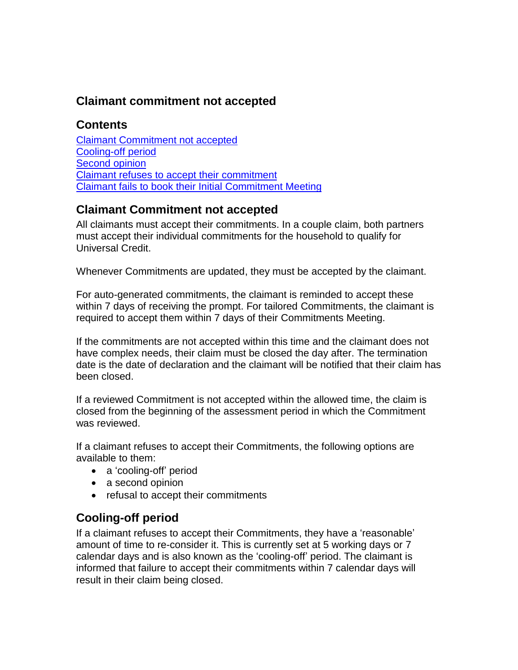### **Claimant commitment not accepted**

# **Contents**

[Claimant Commitment not accepted](#page-0-0) [Cooling-off period](#page-0-1) [Second opinion](#page-1-0) [Claimant refuses to accept their commitment](#page-2-0) [Claimant fails to book their Initial Commitment Meeting](#page-2-1)

#### <span id="page-0-0"></span>**Claimant Commitment not accepted**

All claimants must accept their commitments. In a couple claim, both partners must accept their individual commitments for the household to qualify for Universal Credit.

Whenever Commitments are updated, they must be accepted by the claimant.

For auto-generated commitments, the claimant is reminded to accept these within 7 days of receiving the prompt. For tailored Commitments, the claimant is required to accept them within 7 days of their Commitments Meeting.

If the commitments are not accepted within this time and the claimant does not have complex needs, their claim must be closed the day after. The termination date is the date of declaration and the claimant will be notified that their claim has been closed.

If a reviewed Commitment is not accepted within the allowed time, the claim is closed from the beginning of the assessment period in which the Commitment was reviewed.

If a claimant refuses to accept their Commitments, the following options are available to them:

- a 'cooling-off' period
- a second opinion
- refusal to accept their commitments

#### <span id="page-0-1"></span>**Cooling-off period**

If a claimant refuses to accept their Commitments, they have a 'reasonable' amount of time to re-consider it. This is currently set at 5 working days or 7 calendar days and is also known as the 'cooling-off' period. The claimant is informed that failure to accept their commitments within 7 calendar days will result in their claim being closed.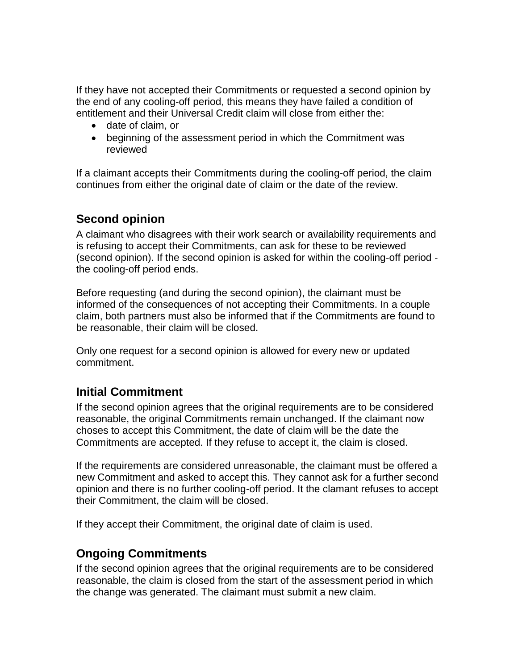If they have not accepted their Commitments or requested a second opinion by the end of any cooling-off period, this means they have failed a condition of entitlement and their Universal Credit claim will close from either the:

- date of claim, or
- beginning of the assessment period in which the Commitment was reviewed

If a claimant accepts their Commitments during the cooling-off period, the claim continues from either the original date of claim or the date of the review.

# <span id="page-1-0"></span>**Second opinion**

A claimant who disagrees with their work search or availability requirements and is refusing to accept their Commitments, can ask for these to be reviewed (second opinion). If the second opinion is asked for within the cooling-off period the cooling-off period ends.

Before requesting (and during the second opinion), the claimant must be informed of the consequences of not accepting their Commitments. In a couple claim, both partners must also be informed that if the Commitments are found to be reasonable, their claim will be closed.

Only one request for a second opinion is allowed for every new or updated commitment.

# **Initial Commitment**

If the second opinion agrees that the original requirements are to be considered reasonable, the original Commitments remain unchanged. If the claimant now choses to accept this Commitment, the date of claim will be the date the Commitments are accepted. If they refuse to accept it, the claim is closed.

If the requirements are considered unreasonable, the claimant must be offered a new Commitment and asked to accept this. They cannot ask for a further second opinion and there is no further cooling-off period. It the clamant refuses to accept their Commitment, the claim will be closed.

If they accept their Commitment, the original date of claim is used.

# **Ongoing Commitments**

If the second opinion agrees that the original requirements are to be considered reasonable, the claim is closed from the start of the assessment period in which the change was generated. The claimant must submit a new claim.